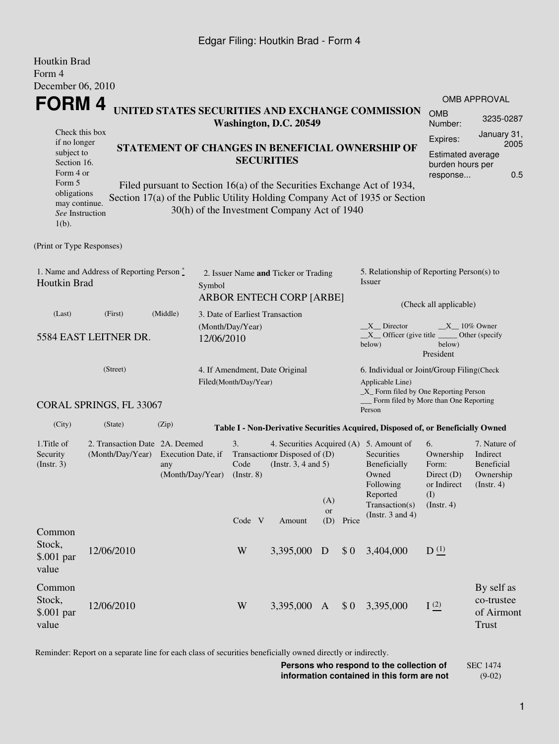### Edgar Filing: Houtkin Brad - Form 4

| Houtkin Brad                                                                                                                                  |                                                                      |          |                                                                                   |                                                                                                                                                  |                                 |                                             |     |                                                                                                             |                                                                                                                                                       |                                                                               |                                                                         |  |
|-----------------------------------------------------------------------------------------------------------------------------------------------|----------------------------------------------------------------------|----------|-----------------------------------------------------------------------------------|--------------------------------------------------------------------------------------------------------------------------------------------------|---------------------------------|---------------------------------------------|-----|-------------------------------------------------------------------------------------------------------------|-------------------------------------------------------------------------------------------------------------------------------------------------------|-------------------------------------------------------------------------------|-------------------------------------------------------------------------|--|
| Form 4<br>December 06, 2010                                                                                                                   |                                                                      |          |                                                                                   |                                                                                                                                                  |                                 |                                             |     |                                                                                                             |                                                                                                                                                       |                                                                               |                                                                         |  |
| <b>FORM4</b>                                                                                                                                  |                                                                      |          |                                                                                   |                                                                                                                                                  |                                 |                                             |     |                                                                                                             | UNITED STATES SECURITIES AND EXCHANGE COMMISSION                                                                                                      | <b>OMB</b>                                                                    | <b>OMB APPROVAL</b>                                                     |  |
|                                                                                                                                               |                                                                      |          |                                                                                   |                                                                                                                                                  |                                 | Washington, D.C. 20549                      |     |                                                                                                             |                                                                                                                                                       | Number:                                                                       | 3235-0287                                                               |  |
|                                                                                                                                               | Check this box<br>if no longer                                       |          |                                                                                   |                                                                                                                                                  |                                 |                                             |     |                                                                                                             |                                                                                                                                                       | Expires:                                                                      | January 31,<br>2005                                                     |  |
| subject to<br>Section 16.<br>Form 4 or                                                                                                        | STATEMENT OF CHANGES IN BENEFICIAL OWNERSHIP OF<br><b>SECURITIES</b> |          |                                                                                   |                                                                                                                                                  |                                 |                                             |     | Estimated average<br>burden hours per<br>0.5<br>response                                                    |                                                                                                                                                       |                                                                               |                                                                         |  |
| Form 5<br>obligations<br>may continue.<br>See Instruction<br>$1(b)$ .                                                                         |                                                                      |          |                                                                                   |                                                                                                                                                  |                                 | 30(h) of the Investment Company Act of 1940 |     |                                                                                                             | Filed pursuant to Section 16(a) of the Securities Exchange Act of 1934,<br>Section 17(a) of the Public Utility Holding Company Act of 1935 or Section |                                                                               |                                                                         |  |
| (Print or Type Responses)                                                                                                                     |                                                                      |          |                                                                                   |                                                                                                                                                  |                                 |                                             |     |                                                                                                             |                                                                                                                                                       |                                                                               |                                                                         |  |
| 1. Name and Address of Reporting Person $\stackrel{*}{\mathbb{L}}$<br>Houtkin Brad                                                            |                                                                      |          | 2. Issuer Name and Ticker or Trading<br>Symbol<br><b>ARBOR ENTECH CORP [ARBE]</b> |                                                                                                                                                  |                                 |                                             |     | 5. Relationship of Reporting Person(s) to<br>Issuer                                                         |                                                                                                                                                       |                                                                               |                                                                         |  |
| (Last)                                                                                                                                        | (First)                                                              | (Middle) |                                                                                   |                                                                                                                                                  | 3. Date of Earliest Transaction |                                             |     |                                                                                                             | (Check all applicable)                                                                                                                                |                                                                               |                                                                         |  |
| 5584 EAST LEITNER DR.                                                                                                                         |                                                                      |          | (Month/Day/Year)<br>12/06/2010                                                    |                                                                                                                                                  |                                 |                                             |     | X Director<br>$X_1$ 10% Owner<br>$X$ Officer (give title<br>Other (specify<br>below)<br>below)<br>President |                                                                                                                                                       |                                                                               |                                                                         |  |
|                                                                                                                                               | (Street)                                                             |          |                                                                                   | 4. If Amendment, Date Original<br>Filed(Month/Day/Year)                                                                                          |                                 |                                             |     |                                                                                                             | 6. Individual or Joint/Group Filing(Check<br>Applicable Line)<br>$\_X$ Form filed by One Reporting Person<br>Form filed by More than One Reporting    |                                                                               |                                                                         |  |
|                                                                                                                                               | CORAL SPRINGS, FL 33067                                              |          |                                                                                   |                                                                                                                                                  |                                 |                                             |     |                                                                                                             | Person                                                                                                                                                |                                                                               |                                                                         |  |
| (City)                                                                                                                                        | (State)                                                              | (Zip)    |                                                                                   |                                                                                                                                                  |                                 |                                             |     |                                                                                                             | Table I - Non-Derivative Securities Acquired, Disposed of, or Beneficially Owned                                                                      |                                                                               |                                                                         |  |
| 1. Title of<br>2. Transaction Date 2A. Deemed<br>Security<br>(Month/Day/Year)<br>Execution Date, if<br>(Insert. 3)<br>any<br>(Month/Day/Year) |                                                                      |          |                                                                                   | 3.<br>4. Securities Acquired (A) 5. Amount of<br>Transaction Disposed of (D)<br>(Instr. $3, 4$ and $5$ )<br>Code<br>$($ Instr. $8)$<br>(A)<br>or |                                 |                                             |     |                                                                                                             | Securities<br>Beneficially<br>Owned<br>Following<br>Reported<br>Transaction(s)<br>(Instr. $3$ and $4$ )                                               | 6.<br>Ownership<br>Form:<br>Direct $(D)$<br>or Indirect<br>(I)<br>(Insert. 4) | 7. Nature of<br>Indirect<br>Beneficial<br>Ownership<br>$($ Instr. 4 $)$ |  |
|                                                                                                                                               |                                                                      |          |                                                                                   | Code V                                                                                                                                           |                                 | Amount                                      | (D) | Price                                                                                                       |                                                                                                                                                       |                                                                               |                                                                         |  |
| Common<br>Stock,<br>\$.001 par<br>value                                                                                                       | 12/06/2010                                                           |          |                                                                                   | W                                                                                                                                                |                                 | 3,395,000                                   | D   | \$0                                                                                                         | 3,404,000                                                                                                                                             | D <sup>(1)</sup>                                                              |                                                                         |  |
| Common<br>Stock,<br>\$.001 par<br>value                                                                                                       | 12/06/2010                                                           |          |                                                                                   | W                                                                                                                                                |                                 | 3,395,000                                   | A   | \$0                                                                                                         | 3,395,000                                                                                                                                             | I(2)                                                                          | By self as<br>co-trustee<br>of Airmont<br><b>Trust</b>                  |  |

Reminder: Report on a separate line for each class of securities beneficially owned directly or indirectly.

**Persons who respond to the collection of information contained in this form are not** SEC 1474 (9-02)